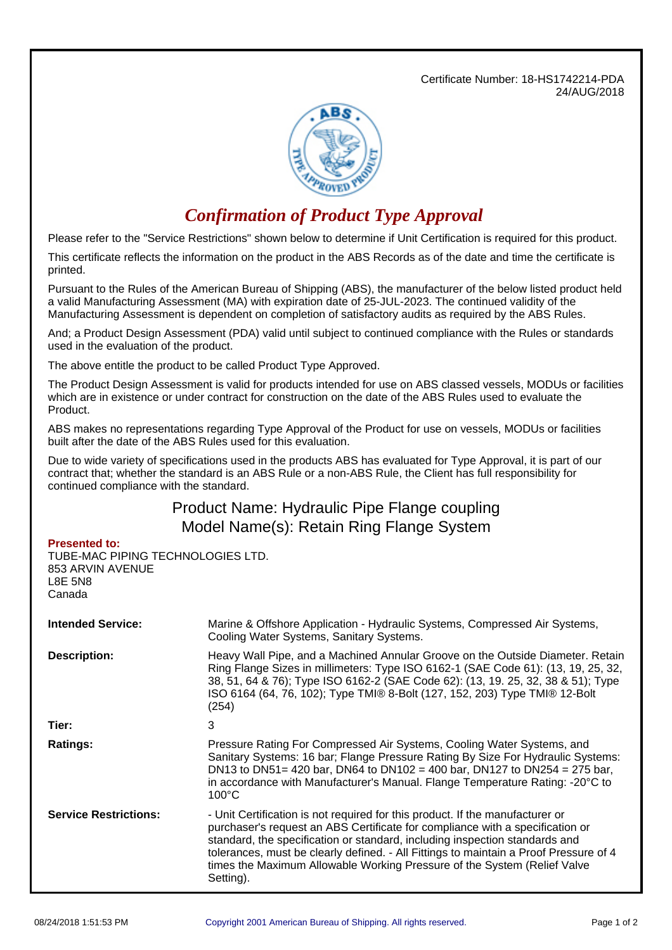Certificate Number: 18-HS1742214-PDA 24/AUG/2018



## *Confirmation of Product Type Approval*

Please refer to the "Service Restrictions" shown below to determine if Unit Certification is required for this product.

This certificate reflects the information on the product in the ABS Records as of the date and time the certificate is printed.

Pursuant to the Rules of the American Bureau of Shipping (ABS), the manufacturer of the below listed product held a valid Manufacturing Assessment (MA) with expiration date of 25-JUL-2023. The continued validity of the Manufacturing Assessment is dependent on completion of satisfactory audits as required by the ABS Rules.

And; a Product Design Assessment (PDA) valid until subject to continued compliance with the Rules or standards used in the evaluation of the product.

The above entitle the product to be called Product Type Approved.

The Product Design Assessment is valid for products intended for use on ABS classed vessels, MODUs or facilities which are in existence or under contract for construction on the date of the ABS Rules used to evaluate the Product.

ABS makes no representations regarding Type Approval of the Product for use on vessels, MODUs or facilities built after the date of the ABS Rules used for this evaluation.

Due to wide variety of specifications used in the products ABS has evaluated for Type Approval, it is part of our contract that; whether the standard is an ABS Rule or a non-ABS Rule, the Client has full responsibility for continued compliance with the standard.

## Product Name: Hydraulic Pipe Flange coupling Model Name(s): Retain Ring Flange System

## **Presented to:**

TUBE-MAC PIPING TECHNOLOGIES LTD. 853 ARVIN AVENUE L8E 5N8 Canada

| <b>Intended Service:</b>     | Marine & Offshore Application - Hydraulic Systems, Compressed Air Systems,<br>Cooling Water Systems, Sanitary Systems.                                                                                                                                                                                                                                                                                                          |
|------------------------------|---------------------------------------------------------------------------------------------------------------------------------------------------------------------------------------------------------------------------------------------------------------------------------------------------------------------------------------------------------------------------------------------------------------------------------|
| <b>Description:</b>          | Heavy Wall Pipe, and a Machined Annular Groove on the Outside Diameter. Retain<br>Ring Flange Sizes in millimeters: Type ISO 6162-1 (SAE Code 61): (13, 19, 25, 32,<br>38, 51, 64 & 76); Type ISO 6162-2 (SAE Code 62): (13, 19, 25, 32, 38 & 51); Type<br>ISO 6164 (64, 76, 102); Type TMI® 8-Bolt (127, 152, 203) Type TMI® 12-Bolt<br>(254)                                                                                  |
| Tier:                        | 3                                                                                                                                                                                                                                                                                                                                                                                                                               |
| <b>Ratings:</b>              | Pressure Rating For Compressed Air Systems, Cooling Water Systems, and<br>Sanitary Systems: 16 bar; Flange Pressure Rating By Size For Hydraulic Systems:<br>DN13 to DN51= 420 bar, DN64 to DN102 = 400 bar, DN127 to DN254 = 275 bar,<br>in accordance with Manufacturer's Manual. Flange Temperature Rating: -20°C to<br>$100^{\circ}$ C                                                                                      |
| <b>Service Restrictions:</b> | - Unit Certification is not required for this product. If the manufacturer or<br>purchaser's request an ABS Certificate for compliance with a specification or<br>standard, the specification or standard, including inspection standards and<br>tolerances, must be clearly defined. - All Fittings to maintain a Proof Pressure of 4<br>times the Maximum Allowable Working Pressure of the System (Relief Valve<br>Setting). |